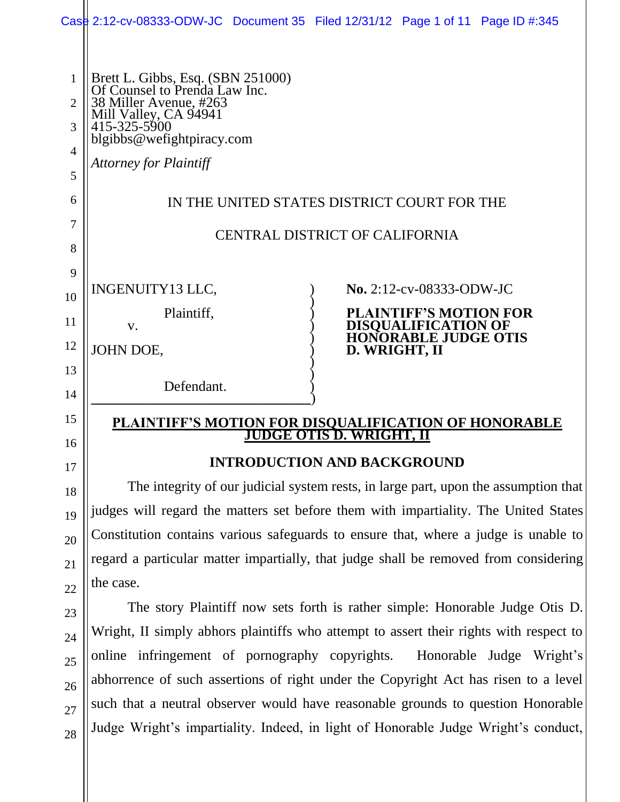|        | Case 2:12-cv-08333-ODW-JC Document 35 Filed 12/31/12 Page 1 of 11 Page ID #:345              |               |                                                                              |  |
|--------|----------------------------------------------------------------------------------------------|---------------|------------------------------------------------------------------------------|--|
|        |                                                                                              |               |                                                                              |  |
|        |                                                                                              |               |                                                                              |  |
| 1<br>2 | Brett L. Gibbs, Esq. (SBN 251000)<br>Of Counsel to Prenda Law Inc.<br>38 Miller Avenue, #263 |               |                                                                              |  |
| 3      | Mill Valley, CA 94941<br>415-325-5900<br>blgibbs@wefightpiracy.com                           |               |                                                                              |  |
| 4      |                                                                                              |               |                                                                              |  |
| 5      | <b>Attorney for Plaintiff</b>                                                                |               |                                                                              |  |
| 6      | IN THE UNITED STATES DISTRICT COURT FOR THE                                                  |               |                                                                              |  |
| 7      | <b>CENTRAL DISTRICT OF CALIFORNIA</b>                                                        |               |                                                                              |  |
| 8      |                                                                                              |               |                                                                              |  |
| 9      |                                                                                              |               |                                                                              |  |
| 10     | INGENUITY13 LLC,                                                                             |               | $\bf{No.} 2:12$ -cv-08333-ODW-JC                                             |  |
| 11     | Plaintiff,<br>V.                                                                             |               | <b>PLAINTIFF'S MOTION FOR</b><br>DISQUALIFICATION OF<br>HONORABLE JUDGE OTIS |  |
| 12     | JOHN DOE,                                                                                    | D. WRIGHT, II |                                                                              |  |
| 13     |                                                                                              |               |                                                                              |  |
| 14     | Defendant.                                                                                   |               |                                                                              |  |
| 15     | PLAINTIFF'S MOTION FOR DISQUALIFICATION OF HONORABLE<br>IS D.<br>WRIGHT,                     |               |                                                                              |  |
| 16     |                                                                                              |               |                                                                              |  |
| 17     | <b>INTRODUCTION AND BACKGROUND</b>                                                           |               |                                                                              |  |
| 18     | The integrity of our judicial system rests, in large part, upon the assumption that          |               |                                                                              |  |
| 19     | judges will regard the matters set before them with impartiality. The United States          |               |                                                                              |  |
| 20     | Constitution contains various safeguards to ensure that, where a judge is unable to          |               |                                                                              |  |
| 21     | regard a particular matter impartially, that judge shall be removed from considering         |               |                                                                              |  |
| 22     | the case.                                                                                    |               |                                                                              |  |
| 23     | The story Plaintiff now sets forth is rather simple: Honorable Judge Otis D.                 |               |                                                                              |  |

Wright, II simply abhors plaintiffs who attempt to assert their rights with respect to online infringement of pornography copyrights. Honorable Judge Wright's abhorrence of such assertions of right under the Copyright Act has risen to a level such that a neutral observer would have reasonable grounds to question Honorable Judge Wright's impartiality. Indeed, in light of Honorable Judge Wright's conduct,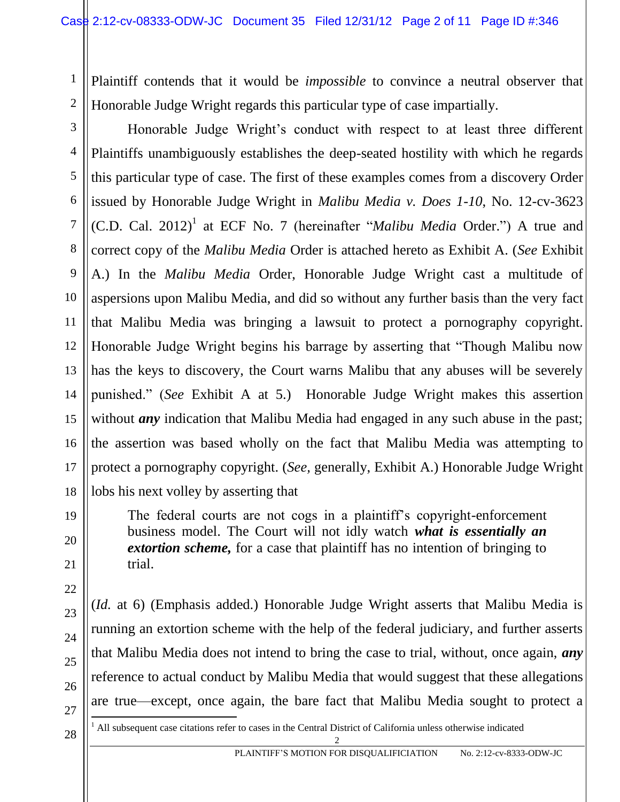Plaintiff contends that it would be *impossible* to convince a neutral observer that Honorable Judge Wright regards this particular type of case impartially.

14 Honorable Judge Wright's conduct with respect to at least three different Plaintiffs unambiguously establishes the deep-seated hostility with which he regards this particular type of case. The first of these examples comes from a discovery Order issued by Honorable Judge Wright in *Malibu Media v. Does 1-10*, No. 12-cv-3623 (C.D. Cal. 2012)<sup>1</sup> at ECF No. 7 (hereinafter "*Malibu Media* Order.") A true and correct copy of the *Malibu Media* Order is attached hereto as Exhibit A. (*See* Exhibit A.) In the *Malibu Media* Order, Honorable Judge Wright cast a multitude of aspersions upon Malibu Media, and did so without any further basis than the very fact that Malibu Media was bringing a lawsuit to protect a pornography copyright. Honorable Judge Wright begins his barrage by asserting that "Though Malibu now has the keys to discovery, the Court warns Malibu that any abuses will be severely punished." (*See* Exhibit A at 5.) Honorable Judge Wright makes this assertion without *any* indication that Malibu Media had engaged in any such abuse in the past; the assertion was based wholly on the fact that Malibu Media was attempting to protect a pornography copyright. (*See,* generally, Exhibit A.) Honorable Judge Wright lobs his next volley by asserting that

> The federal courts are not cogs in a plaintiff's copyright-enforcement business model. The Court will not idly watch *what is essentially an extortion scheme,* for a case that plaintiff has no intention of bringing to trial.

(*Id.* at 6) (Emphasis added.) Honorable Judge Wright asserts that Malibu Media is running an extortion scheme with the help of the federal judiciary, and further asserts that Malibu Media does not intend to bring the case to trial, without, once again, *any*  reference to actual conduct by Malibu Media that would suggest that these allegations are true—except, once again, the bare fact that Malibu Media sought to protect a

27

 $\overline{a}$ 

1

2

3

4

5

6

7

8

9

10

11

12

13

15

16

17

18

19

20

21

22

23

24

25

26

28  $\left\| \begin{matrix} 1 & \text{All subsequent case citations refer to cases in the Central District of California unless otherwise indicated} \\ 2 & 2 \end{matrix} \right\|$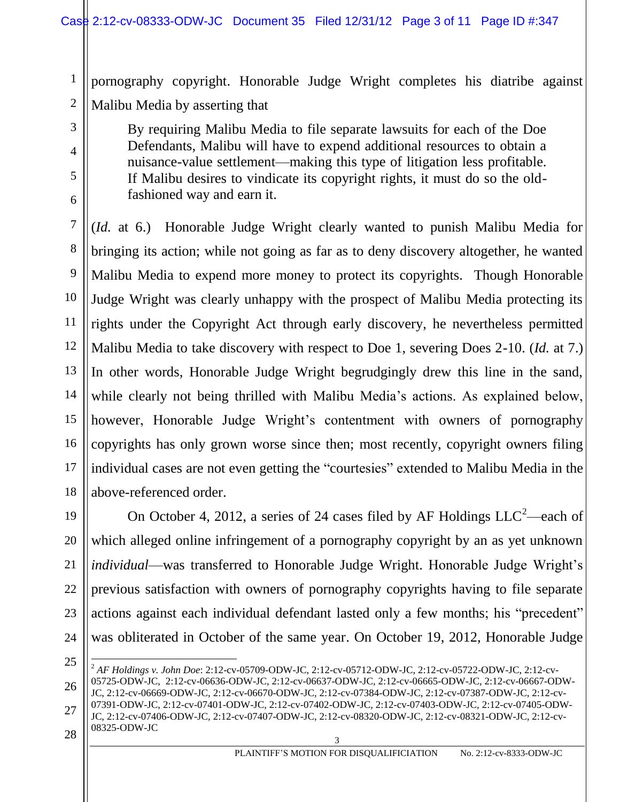1 2 pornography copyright. Honorable Judge Wright completes his diatribe against Malibu Media by asserting that

> By requiring Malibu Media to file separate lawsuits for each of the Doe Defendants, Malibu will have to expend additional resources to obtain a nuisance-value settlement—making this type of litigation less profitable. If Malibu desires to vindicate its copyright rights, it must do so the oldfashioned way and earn it.

(*Id.* at 6.) Honorable Judge Wright clearly wanted to punish Malibu Media for bringing its action; while not going as far as to deny discovery altogether, he wanted Malibu Media to expend more money to protect its copyrights. Though Honorable Judge Wright was clearly unhappy with the prospect of Malibu Media protecting its rights under the Copyright Act through early discovery, he nevertheless permitted Malibu Media to take discovery with respect to Doe 1, severing Does 2-10. (*Id.* at 7.) In other words, Honorable Judge Wright begrudgingly drew this line in the sand, while clearly not being thrilled with Malibu Media's actions. As explained below, however, Honorable Judge Wright's contentment with owners of pornography copyrights has only grown worse since then; most recently, copyright owners filing individual cases are not even getting the "courtesies" extended to Malibu Media in the above-referenced order.

19 22 23 24 On October 4, 2012, a series of 24 cases filed by AF Holdings  $LLC^2$ —each of which alleged online infringement of a pornography copyright by an as yet unknown *individual*—was transferred to Honorable Judge Wright. Honorable Judge Wright's previous satisfaction with owners of pornography copyrights having to file separate actions against each individual defendant lasted only a few months; his "precedent" was obliterated in October of the same year. On October 19, 2012, Honorable Judge

25

3

4

5

6

7

8

9

10

11

12

13

14

15

16

17

18

20

21

<sup>26</sup> 27  $28 \parallel^{0.0525 - 0.000 - 1.000}$  $\overline{a}$ <sup>2</sup> *AF Holdings v. John Doe*: 2:12-cv-05709-ODW-JC, 2:12-cv-05712-ODW-JC, 2:12-cv-05722-ODW-JC, 2:12-cv-05725-ODW-JC, 2:12-cv-06636-ODW-JC, 2:12-cv-06637-ODW-JC, 2:12-cv-06665-ODW-JC, 2:12-cv-06667-ODW-JC, 2:12-cv-06669-ODW-JC, 2:12-cv-06670-ODW-JC, 2:12-cv-07384-ODW-JC, 2:12-cv-07387-ODW-JC, 2:12-cv-07391-ODW-JC, 2:12-cv-07401-ODW-JC, 2:12-cv-07402-ODW-JC, 2:12-cv-07403-ODW-JC, 2:12-cv-07405-ODW-JC, 2:12-cv-07406-ODW-JC, 2:12-cv-07407-ODW-JC, 2:12-cv-08320-ODW-JC, 2:12-cv-08321-ODW-JC, 2:12-cv-08325-ODW-JC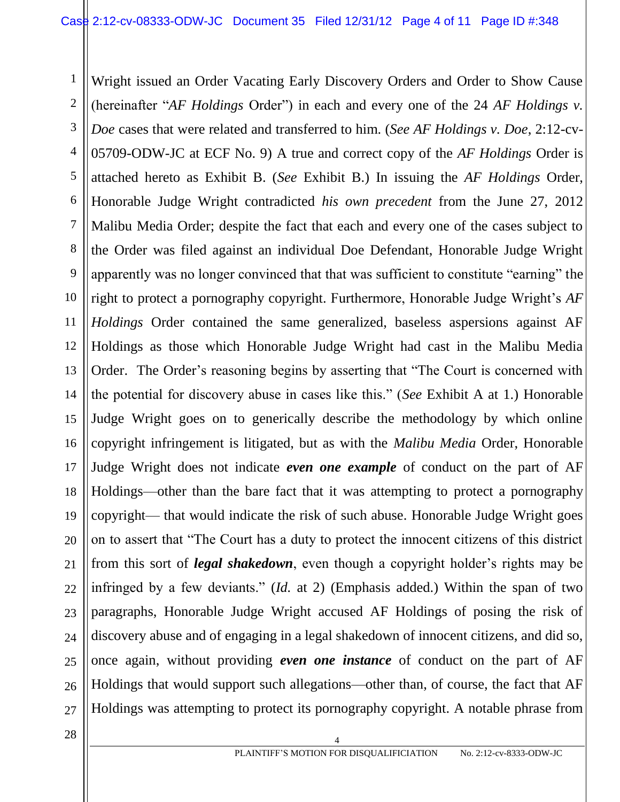1 2 3 4 5 6 7 8 9 10 11 12 13 14 15 16 17 18 19 20 21 22 23 24 25 26 27 Wright issued an Order Vacating Early Discovery Orders and Order to Show Cause (hereinafter "*AF Holdings* Order") in each and every one of the 24 *AF Holdings v. Doe* cases that were related and transferred to him. (*See AF Holdings v. Doe*, 2:12-cv-05709-ODW-JC at ECF No. 9) A true and correct copy of the *AF Holdings* Order is attached hereto as Exhibit B. (*See* Exhibit B.) In issuing the *AF Holdings* Order, Honorable Judge Wright contradicted *his own precedent* from the June 27, 2012 Malibu Media Order; despite the fact that each and every one of the cases subject to the Order was filed against an individual Doe Defendant, Honorable Judge Wright apparently was no longer convinced that that was sufficient to constitute "earning" the right to protect a pornography copyright. Furthermore, Honorable Judge Wright's *AF Holdings* Order contained the same generalized, baseless aspersions against AF Holdings as those which Honorable Judge Wright had cast in the Malibu Media Order. The Order's reasoning begins by asserting that "The Court is concerned with the potential for discovery abuse in cases like this." (*See* Exhibit A at 1.) Honorable Judge Wright goes on to generically describe the methodology by which online copyright infringement is litigated, but as with the *Malibu Media* Order, Honorable Judge Wright does not indicate *even one example* of conduct on the part of AF Holdings—other than the bare fact that it was attempting to protect a pornography copyright— that would indicate the risk of such abuse. Honorable Judge Wright goes on to assert that "The Court has a duty to protect the innocent citizens of this district from this sort of *legal shakedown*, even though a copyright holder's rights may be infringed by a few deviants." (*Id.* at 2) (Emphasis added.) Within the span of two paragraphs, Honorable Judge Wright accused AF Holdings of posing the risk of discovery abuse and of engaging in a legal shakedown of innocent citizens, and did so, once again, without providing *even one instance* of conduct on the part of AF Holdings that would support such allegations—other than, of course, the fact that AF Holdings was attempting to protect its pornography copyright. A notable phrase from

 $\begin{array}{c|c|c|c|c} \hline 28 & 4 \end{array}$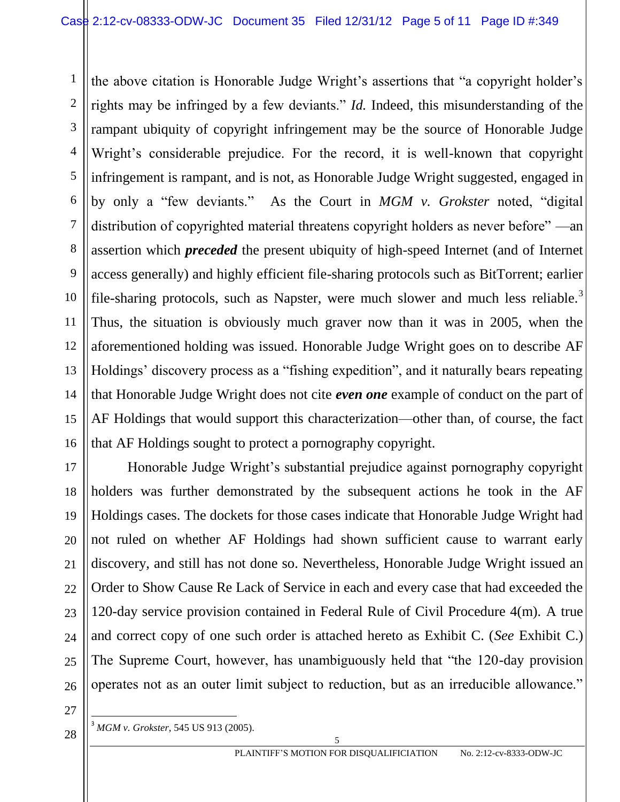1 2 3 4 5 6 7 8 9 10 11 12 13 14 15 16 the above citation is Honorable Judge Wright's assertions that "a copyright holder's rights may be infringed by a few deviants." *Id.* Indeed, this misunderstanding of the rampant ubiquity of copyright infringement may be the source of Honorable Judge Wright's considerable prejudice. For the record, it is well-known that copyright infringement is rampant, and is not, as Honorable Judge Wright suggested, engaged in by only a "few deviants." As the Court in *MGM v. Grokster* noted, "digital distribution of copyrighted material threatens copyright holders as never before" —an assertion which *preceded* the present ubiquity of high-speed Internet (and of Internet access generally) and highly efficient file-sharing protocols such as BitTorrent; earlier file-sharing protocols, such as Napster, were much slower and much less reliable.<sup>3</sup> Thus, the situation is obviously much graver now than it was in 2005, when the aforementioned holding was issued. Honorable Judge Wright goes on to describe AF Holdings' discovery process as a "fishing expedition", and it naturally bears repeating that Honorable Judge Wright does not cite *even one* example of conduct on the part of AF Holdings that would support this characterization—other than, of course, the fact that AF Holdings sought to protect a pornography copyright.

17 18 19 20 21 22 23 24 25 26 Honorable Judge Wright's substantial prejudice against pornography copyright holders was further demonstrated by the subsequent actions he took in the AF Holdings cases. The dockets for those cases indicate that Honorable Judge Wright had not ruled on whether AF Holdings had shown sufficient cause to warrant early discovery, and still has not done so. Nevertheless, Honorable Judge Wright issued an Order to Show Cause Re Lack of Service in each and every case that had exceeded the 120-day service provision contained in Federal Rule of Civil Procedure 4(m). A true and correct copy of one such order is attached hereto as Exhibit C. (*See* Exhibit C.) The Supreme Court, however, has unambiguously held that "the 120-day provision operates not as an outer limit subject to reduction, but as an irreducible allowance."

27

 $\overline{a}$ 

 $28 \left| \right|^3$  *MGM v. Grokster*, 545 US 913 (2005).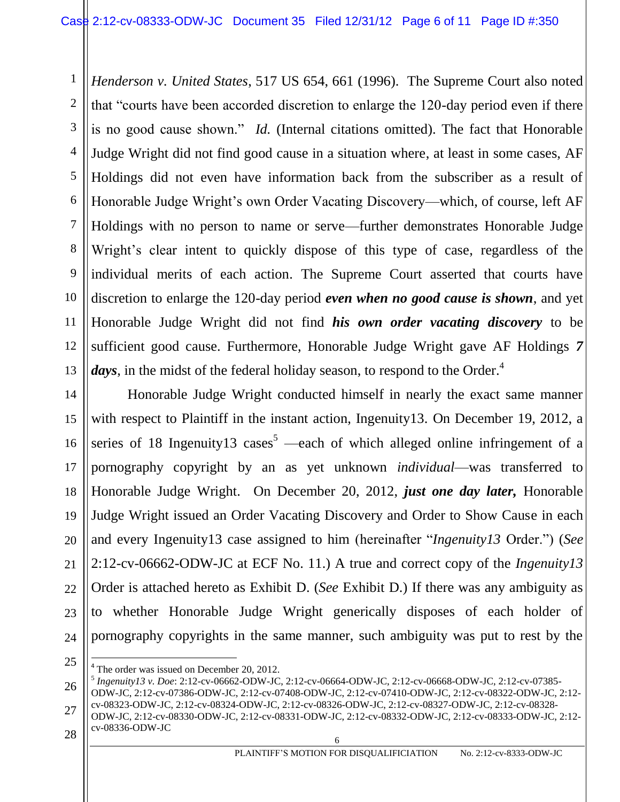1 2 3 4 5 6 7 8 9 10 11 12 13 *Henderson v. United States*, 517 US 654, 661 (1996). The Supreme Court also noted that "courts have been accorded discretion to enlarge the 120-day period even if there is no good cause shown." *Id.* (Internal citations omitted). The fact that Honorable Judge Wright did not find good cause in a situation where, at least in some cases, AF Holdings did not even have information back from the subscriber as a result of Honorable Judge Wright's own Order Vacating Discovery—which, of course, left AF Holdings with no person to name or serve—further demonstrates Honorable Judge Wright's clear intent to quickly dispose of this type of case, regardless of the individual merits of each action. The Supreme Court asserted that courts have discretion to enlarge the 120-day period *even when no good cause is shown*, and yet Honorable Judge Wright did not find *his own order vacating discovery* to be sufficient good cause. Furthermore, Honorable Judge Wright gave AF Holdings *7 days*, in the midst of the federal holiday season, to respond to the Order.<sup>4</sup>

14 15 16 17 18 19 20 21 22 23 24 Honorable Judge Wright conducted himself in nearly the exact same manner with respect to Plaintiff in the instant action, Ingenuity13. On December 19, 2012, a series of 18 Ingenuity13 cases<sup>5</sup> —each of which alleged online infringement of a pornography copyright by an as yet unknown *individual*—was transferred to Honorable Judge Wright. On December 20, 2012, *just one day later,* Honorable Judge Wright issued an Order Vacating Discovery and Order to Show Cause in each and every Ingenuity13 case assigned to him (hereinafter "*Ingenuity13* Order.") (*See* 2:12-cv-06662-ODW-JC at ECF No. 11.) A true and correct copy of the *Ingenuity13*  Order is attached hereto as Exhibit D. (*See* Exhibit D.) If there was any ambiguity as to whether Honorable Judge Wright generically disposes of each holder of pornography copyrights in the same manner, such ambiguity was put to rest by the

 $\overline{a}$ 

 $28 \parallel^{\text{cv}-0.550-ODEW-5C}$ ODW-JC, 2:12-cv-08330-ODW-JC, 2:12-cv-08331-ODW-JC, 2:12-cv-08332-ODW-JC, 2:12-cv-08333-ODW-JC, 2:12 cv-08336-ODW-JC

<sup>25</sup>

<sup>&</sup>lt;sup>4</sup> The order was issued on December 20, 2012.

<sup>26</sup> 27 5 *Ingenuity13 v. Doe*: 2:12-cv-06662-ODW-JC, 2:12-cv-06664-ODW-JC, 2:12-cv-06668-ODW-JC, 2:12-cv-07385- ODW-JC, 2:12-cv-07386-ODW-JC, 2:12-cv-07408-ODW-JC, 2:12-cv-07410-ODW-JC, 2:12-cv-08322-ODW-JC, 2:12 cv-08323-ODW-JC, 2:12-cv-08324-ODW-JC, 2:12-cv-08326-ODW-JC, 2:12-cv-08327-ODW-JC, 2:12-cv-08328-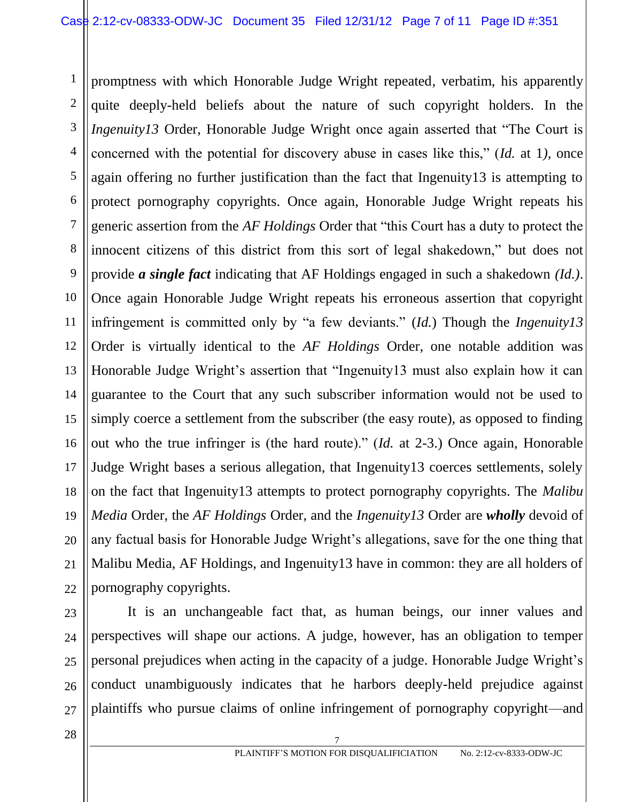1 2 3 4 5 6 7 8 9 10 11 12 13 14 15 16 17 18 promptness with which Honorable Judge Wright repeated, verbatim, his apparently quite deeply-held beliefs about the nature of such copyright holders. In the *Ingenuity13* Order, Honorable Judge Wright once again asserted that "The Court is concerned with the potential for discovery abuse in cases like this," (*Id.* at 1*),* once again offering no further justification than the fact that Ingenuity13 is attempting to protect pornography copyrights. Once again, Honorable Judge Wright repeats his generic assertion from the *AF Holdings* Order that "this Court has a duty to protect the innocent citizens of this district from this sort of legal shakedown," but does not provide *a single fact* indicating that AF Holdings engaged in such a shakedown *(Id.)*. Once again Honorable Judge Wright repeats his erroneous assertion that copyright infringement is committed only by "a few deviants." (*Id.*) Though the *Ingenuity13*  Order is virtually identical to the *AF Holdings* Order, one notable addition was Honorable Judge Wright's assertion that "Ingenuity13 must also explain how it can guarantee to the Court that any such subscriber information would not be used to simply coerce a settlement from the subscriber (the easy route), as opposed to finding out who the true infringer is (the hard route)." (*Id.* at 2-3.) Once again, Honorable Judge Wright bases a serious allegation, that Ingenuity13 coerces settlements, solely on the fact that Ingenuity13 attempts to protect pornography copyrights. The *Malibu Media* Order, the *AF Holdings* Order, and the *Ingenuity13* Order are *wholly* devoid of any factual basis for Honorable Judge Wright's allegations, save for the one thing that Malibu Media, AF Holdings, and Ingenuity13 have in common: they are all holders of pornography copyrights.

It is an unchangeable fact that, as human beings, our inner values and perspectives will shape our actions. A judge, however, has an obligation to temper personal prejudices when acting in the capacity of a judge. Honorable Judge Wright's conduct unambiguously indicates that he harbors deeply-held prejudice against plaintiffs who pursue claims of online infringement of pornography copyright—and

 $\begin{array}{c|c|c|c|c} \hline \text{28} & \text{7} \end{array}$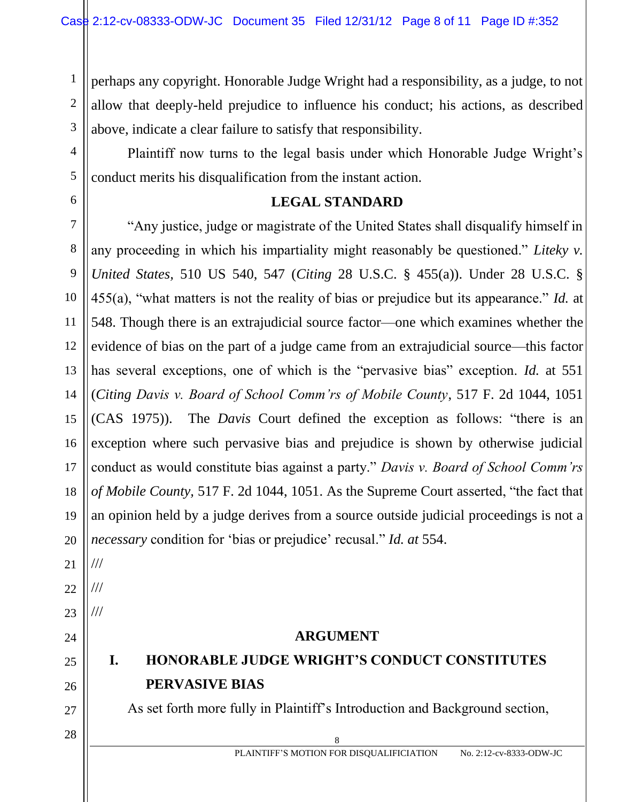perhaps any copyright. Honorable Judge Wright had a responsibility, as a judge, to not allow that deeply-held prejudice to influence his conduct; his actions, as described above, indicate a clear failure to satisfy that responsibility.

Plaintiff now turns to the legal basis under which Honorable Judge Wright's conduct merits his disqualification from the instant action.

### **LEGAL STANDARD**

"Any justice, judge or magistrate of the United States shall disqualify himself in any proceeding in which his impartiality might reasonably be questioned." *Liteky v. United States,* 510 US 540, 547 (*Citing* 28 U.S.C. § 455(a)). Under 28 U.S.C. § 455(a), "what matters is not the reality of bias or prejudice but its appearance." *Id.* at 548. Though there is an extrajudicial source factor—one which examines whether the evidence of bias on the part of a judge came from an extrajudicial source—this factor has several exceptions, one of which is the "pervasive bias" exception. *Id.* at 551 (*Citing Davis v. Board of School Comm'rs of Mobile County*, 517 F. 2d 1044, 1051 (CAS 1975)). The *Davis* Court defined the exception as follows: "there is an exception where such pervasive bias and prejudice is shown by otherwise judicial conduct as would constitute bias against a party." *Davis v. Board of School Comm'rs of Mobile County,* 517 F. 2d 1044, 1051. As the Supreme Court asserted, "the fact that an opinion held by a judge derives from a source outside judicial proceedings is not a *necessary* condition for 'bias or prejudice' recusal." *Id. at* 554.

21

///

///

///

1

2

3

4

5

6

7

8

9

10

11

12

13

14

15

16

17

18

19

20

- 22
- 23

## 24 25

## 26

27

# **PERVASIVE BIAS**

**ARGUMENT**

**I. HONORABLE JUDGE WRIGHT'S CONDUCT CONSTITUTES** 

As set forth more fully in Plaintiff's Introduction and Background section,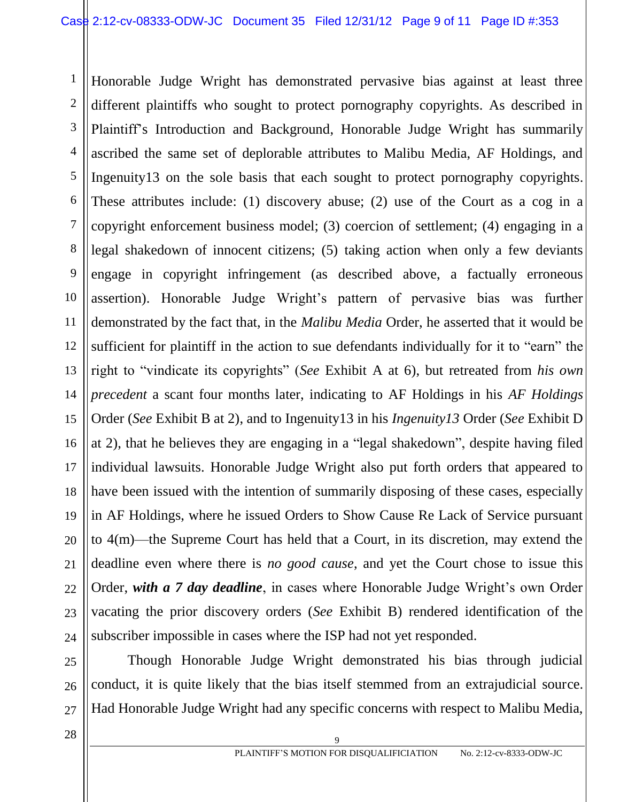1 2 3 4 5 6 7 8 9 10 11 12 13 14 15 16 17 18 19 20 21 22 23 24 Honorable Judge Wright has demonstrated pervasive bias against at least three different plaintiffs who sought to protect pornography copyrights. As described in Plaintiff's Introduction and Background, Honorable Judge Wright has summarily ascribed the same set of deplorable attributes to Malibu Media, AF Holdings, and Ingenuity13 on the sole basis that each sought to protect pornography copyrights. These attributes include: (1) discovery abuse; (2) use of the Court as a cog in a copyright enforcement business model; (3) coercion of settlement; (4) engaging in a legal shakedown of innocent citizens; (5) taking action when only a few deviants engage in copyright infringement (as described above, a factually erroneous assertion). Honorable Judge Wright's pattern of pervasive bias was further demonstrated by the fact that, in the *Malibu Media* Order, he asserted that it would be sufficient for plaintiff in the action to sue defendants individually for it to "earn" the right to "vindicate its copyrights" (*See* Exhibit A at 6), but retreated from *his own precedent* a scant four months later, indicating to AF Holdings in his *AF Holdings*  Order (*See* Exhibit B at 2), and to Ingenuity13 in his *Ingenuity13* Order (*See* Exhibit D at 2), that he believes they are engaging in a "legal shakedown", despite having filed individual lawsuits. Honorable Judge Wright also put forth orders that appeared to have been issued with the intention of summarily disposing of these cases, especially in AF Holdings, where he issued Orders to Show Cause Re Lack of Service pursuant to 4(m)—the Supreme Court has held that a Court, in its discretion, may extend the deadline even where there is *no good cause*, and yet the Court chose to issue this Order, *with a 7 day deadline*, in cases where Honorable Judge Wright's own Order vacating the prior discovery orders (*See* Exhibit B) rendered identification of the subscriber impossible in cases where the ISP had not yet responded.

25 26 27 Though Honorable Judge Wright demonstrated his bias through judicial conduct, it is quite likely that the bias itself stemmed from an extrajudicial source. Had Honorable Judge Wright had any specific concerns with respect to Malibu Media,

 $\begin{array}{c|c|c|c|c} \hline \end{array}$  28  $\begin{array}{c|c|c|c} \hline \end{array}$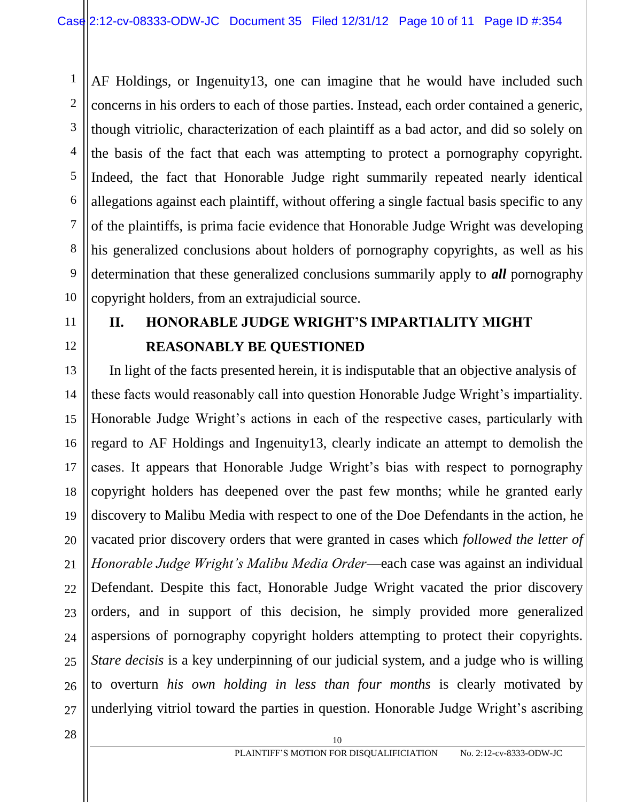2 3 4 5 6 8 10 AF Holdings, or Ingenuity13, one can imagine that he would have included such concerns in his orders to each of those parties. Instead, each order contained a generic, though vitriolic, characterization of each plaintiff as a bad actor, and did so solely on the basis of the fact that each was attempting to protect a pornography copyright. Indeed, the fact that Honorable Judge right summarily repeated nearly identical allegations against each plaintiff, without offering a single factual basis specific to any of the plaintiffs, is prima facie evidence that Honorable Judge Wright was developing his generalized conclusions about holders of pornography copyrights, as well as his determination that these generalized conclusions summarily apply to *all* pornography copyright holders, from an extrajudicial source.

11 12

7

9

1

## **II. HONORABLE JUDGE WRIGHT'S IMPARTIALITY MIGHT REASONABLY BE QUESTIONED**

13 14 15 16 17 18 19 20 21 22 23 24 25 26 27 In light of the facts presented herein, it is indisputable that an objective analysis of these facts would reasonably call into question Honorable Judge Wright's impartiality. Honorable Judge Wright's actions in each of the respective cases, particularly with regard to AF Holdings and Ingenuity13, clearly indicate an attempt to demolish the cases. It appears that Honorable Judge Wright's bias with respect to pornography copyright holders has deepened over the past few months; while he granted early discovery to Malibu Media with respect to one of the Doe Defendants in the action, he vacated prior discovery orders that were granted in cases which *followed the letter of Honorable Judge Wright's Malibu Media Order*—each case was against an individual Defendant. Despite this fact, Honorable Judge Wright vacated the prior discovery orders, and in support of this decision, he simply provided more generalized aspersions of pornography copyright holders attempting to protect their copyrights. *Stare decisis* is a key underpinning of our judicial system, and a judge who is willing to overturn *his own holding in less than four months* is clearly motivated by underlying vitriol toward the parties in question. Honorable Judge Wright's ascribing

 $28$  || 10